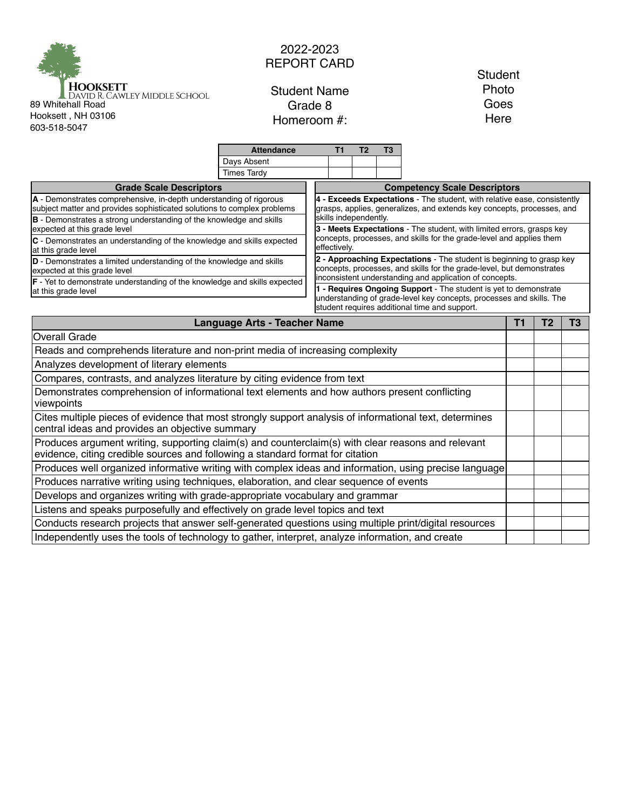

## 2022-2023 REPORT CARD

Student Name Grade 8 Homeroom #:

## **Student** Photo Goes Here

|                                                                                                                                                                                      | <b>Attendance</b>                                                                                                                                                                         | T1                                                                                                                                                                                                       | T <sub>2</sub> | T3 |                                                                       |  |                |    |  |  |  |
|--------------------------------------------------------------------------------------------------------------------------------------------------------------------------------------|-------------------------------------------------------------------------------------------------------------------------------------------------------------------------------------------|----------------------------------------------------------------------------------------------------------------------------------------------------------------------------------------------------------|----------------|----|-----------------------------------------------------------------------|--|----------------|----|--|--|--|
|                                                                                                                                                                                      | Days Absent                                                                                                                                                                               |                                                                                                                                                                                                          |                |    |                                                                       |  |                |    |  |  |  |
|                                                                                                                                                                                      | <b>Times Tardy</b>                                                                                                                                                                        |                                                                                                                                                                                                          |                |    |                                                                       |  |                |    |  |  |  |
| <b>Grade Scale Descriptors</b>                                                                                                                                                       |                                                                                                                                                                                           |                                                                                                                                                                                                          |                |    | <b>Competency Scale Descriptors</b>                                   |  |                |    |  |  |  |
| A - Demonstrates comprehensive, in-depth understanding of rigorous<br>subject matter and provides sophisticated solutions to complex problems                                        | 4 - Exceeds Expectations - The student, with relative ease, consistently<br>grasps, applies, generalizes, and extends key concepts, processes, and<br>skills independently.               |                                                                                                                                                                                                          |                |    |                                                                       |  |                |    |  |  |  |
| B - Demonstrates a strong understanding of the knowledge and skills<br>expected at this grade level                                                                                  |                                                                                                                                                                                           |                                                                                                                                                                                                          |                |    | 3 - Meets Expectations - The student, with limited errors, grasps key |  |                |    |  |  |  |
| C - Demonstrates an understanding of the knowledge and skills expected<br>at this grade level                                                                                        |                                                                                                                                                                                           | concepts, processes, and skills for the grade-level and applies them<br>effectively.                                                                                                                     |                |    |                                                                       |  |                |    |  |  |  |
| D - Demonstrates a limited understanding of the knowledge and skills<br>expected at this grade level                                                                                 |                                                                                                                                                                                           | 2 - Approaching Expectations - The student is beginning to grasp key<br>concepts, processes, and skills for the grade-level, but demonstrates<br>inconsistent understanding and application of concepts. |                |    |                                                                       |  |                |    |  |  |  |
| F - Yet to demonstrate understanding of the knowledge and skills expected                                                                                                            |                                                                                                                                                                                           |                                                                                                                                                                                                          |                |    |                                                                       |  |                |    |  |  |  |
| at this grade level                                                                                                                                                                  | 1 - Requires Ongoing Support - The student is yet to demonstrate<br>understanding of grade-level key concepts, processes and skills. The<br>student requires additional time and support. |                                                                                                                                                                                                          |                |    |                                                                       |  |                |    |  |  |  |
| <b>Language Arts - Teacher Name</b>                                                                                                                                                  |                                                                                                                                                                                           |                                                                                                                                                                                                          |                |    |                                                                       |  | T <sub>2</sub> | T3 |  |  |  |
| <b>Overall Grade</b>                                                                                                                                                                 |                                                                                                                                                                                           |                                                                                                                                                                                                          |                |    |                                                                       |  |                |    |  |  |  |
| Reads and comprehends literature and non-print media of increasing complexity                                                                                                        |                                                                                                                                                                                           |                                                                                                                                                                                                          |                |    |                                                                       |  |                |    |  |  |  |
| Analyzes development of literary elements                                                                                                                                            |                                                                                                                                                                                           |                                                                                                                                                                                                          |                |    |                                                                       |  |                |    |  |  |  |
| Compares, contrasts, and analyzes literature by citing evidence from text                                                                                                            |                                                                                                                                                                                           |                                                                                                                                                                                                          |                |    |                                                                       |  |                |    |  |  |  |
| Demonstrates comprehension of informational text elements and how authors present conflicting<br>viewpoints                                                                          |                                                                                                                                                                                           |                                                                                                                                                                                                          |                |    |                                                                       |  |                |    |  |  |  |
| Cites multiple pieces of evidence that most strongly support analysis of informational text, determines<br>central ideas and provides an objective summary                           |                                                                                                                                                                                           |                                                                                                                                                                                                          |                |    |                                                                       |  |                |    |  |  |  |
| Produces argument writing, supporting claim(s) and counterclaim(s) with clear reasons and relevant<br>evidence, citing credible sources and following a standard format for citation |                                                                                                                                                                                           |                                                                                                                                                                                                          |                |    |                                                                       |  |                |    |  |  |  |
| Produces well organized informative writing with complex ideas and information, using precise language                                                                               |                                                                                                                                                                                           |                                                                                                                                                                                                          |                |    |                                                                       |  |                |    |  |  |  |
| Produces narrative writing using techniques, elaboration, and clear sequence of events                                                                                               |                                                                                                                                                                                           |                                                                                                                                                                                                          |                |    |                                                                       |  |                |    |  |  |  |
| Develops and organizes writing with grade-appropriate vocabulary and grammar                                                                                                         |                                                                                                                                                                                           |                                                                                                                                                                                                          |                |    |                                                                       |  |                |    |  |  |  |
| Listens and speaks purposefully and effectively on grade level topics and text                                                                                                       |                                                                                                                                                                                           |                                                                                                                                                                                                          |                |    |                                                                       |  |                |    |  |  |  |
| Conducts research projects that answer self-generated questions using multiple print/digital resources                                                                               |                                                                                                                                                                                           |                                                                                                                                                                                                          |                |    |                                                                       |  |                |    |  |  |  |
| Independently uses the tools of technology to gather, interpret, analyze information, and create                                                                                     |                                                                                                                                                                                           |                                                                                                                                                                                                          |                |    |                                                                       |  |                |    |  |  |  |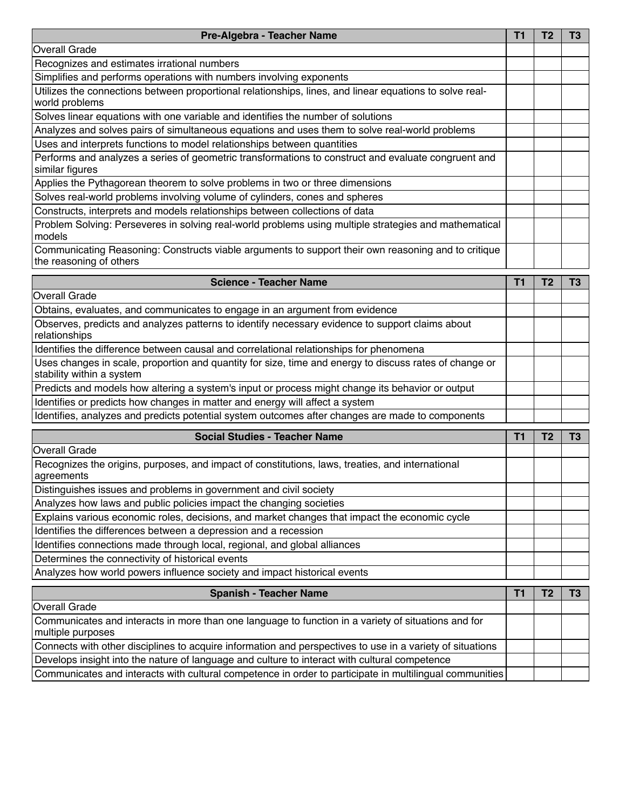| Pre-Algebra - Teacher Name                                                                                                          |    |                |                |  |  |
|-------------------------------------------------------------------------------------------------------------------------------------|----|----------------|----------------|--|--|
| <b>Overall Grade</b>                                                                                                                |    |                |                |  |  |
| Recognizes and estimates irrational numbers                                                                                         |    |                |                |  |  |
| Simplifies and performs operations with numbers involving exponents                                                                 |    |                |                |  |  |
| Utilizes the connections between proportional relationships, lines, and linear equations to solve real-<br>world problems           |    |                |                |  |  |
| Solves linear equations with one variable and identifies the number of solutions                                                    |    |                |                |  |  |
| Analyzes and solves pairs of simultaneous equations and uses them to solve real-world problems                                      |    |                |                |  |  |
| Uses and interprets functions to model relationships between quantities                                                             |    |                |                |  |  |
| Performs and analyzes a series of geometric transformations to construct and evaluate congruent and<br>similar figures              |    |                |                |  |  |
| Applies the Pythagorean theorem to solve problems in two or three dimensions                                                        |    |                |                |  |  |
| Solves real-world problems involving volume of cylinders, cones and spheres                                                         |    |                |                |  |  |
| Constructs, interprets and models relationships between collections of data                                                         |    |                |                |  |  |
| Problem Solving: Perseveres in solving real-world problems using multiple strategies and mathematical<br>models                     |    |                |                |  |  |
| Communicating Reasoning: Constructs viable arguments to support their own reasoning and to critique<br>the reasoning of others      |    |                |                |  |  |
| <b>Science - Teacher Name</b>                                                                                                       | T1 | T <sub>2</sub> | T <sub>3</sub> |  |  |
| <b>Overall Grade</b>                                                                                                                |    |                |                |  |  |
| Obtains, evaluates, and communicates to engage in an argument from evidence                                                         |    |                |                |  |  |
| Observes, predicts and analyzes patterns to identify necessary evidence to support claims about<br>relationships                    |    |                |                |  |  |
| Identifies the difference between causal and correlational relationships for phenomena                                              |    |                |                |  |  |
| Uses changes in scale, proportion and quantity for size, time and energy to discuss rates of change or<br>stability within a system |    |                |                |  |  |
| Predicts and models how altering a system's input or process might change its behavior or output                                    |    |                |                |  |  |
| Identifies or predicts how changes in matter and energy will affect a system                                                        |    |                |                |  |  |

Identifies, analyzes and predicts potential system outcomes after changes are made to components

| <b>Social Studies - Teacher Name</b>                                                                           |  |  |
|----------------------------------------------------------------------------------------------------------------|--|--|
| <b>Overall Grade</b>                                                                                           |  |  |
| Recognizes the origins, purposes, and impact of constitutions, laws, treaties, and international<br>agreements |  |  |
| Distinguishes issues and problems in government and civil society                                              |  |  |
| Analyzes how laws and public policies impact the changing societies                                            |  |  |
| Explains various economic roles, decisions, and market changes that impact the economic cycle                  |  |  |
| Identifies the differences between a depression and a recession                                                |  |  |
| Identifies connections made through local, regional, and global alliances                                      |  |  |
| Determines the connectivity of historical events                                                               |  |  |
| Analyzes how world powers influence society and impact historical events                                       |  |  |

| <b>Spanish - Teacher Name</b>                                                                                            |  |  |  |  |
|--------------------------------------------------------------------------------------------------------------------------|--|--|--|--|
| Overall Grade                                                                                                            |  |  |  |  |
| Communicates and interacts in more than one language to function in a variety of situations and for<br>multiple purposes |  |  |  |  |
| Connects with other disciplines to acquire information and perspectives to use in a variety of situations                |  |  |  |  |
| Develops insight into the nature of language and culture to interact with cultural competence                            |  |  |  |  |
| Communicates and interacts with cultural competence in order to participate in multilingual communities                  |  |  |  |  |